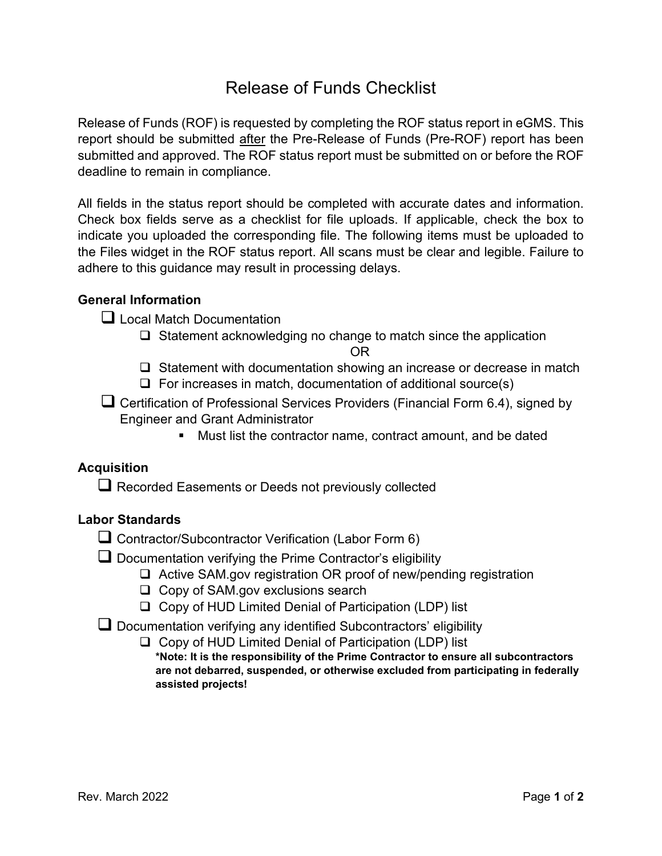# Release of Funds Checklist

Release of Funds (ROF) is requested by completing the ROF status report in eGMS. This report should be submitted after the Pre-Release of Funds (Pre-ROF) report has been submitted and approved. The ROF status report must be submitted on or before the ROF deadline to remain in compliance.

All fields in the status report should be completed with accurate dates and information. Check box fields serve as a checklist for file uploads. If applicable, check the box to indicate you uploaded the corresponding file. The following items must be uploaded to the Files widget in the ROF status report. All scans must be clear and legible. Failure to adhere to this guidance may result in processing delays.

## **General Information**

**Q** Local Match Documentation

□ Statement acknowledging no change to match since the application

OR

- $\Box$  Statement with documentation showing an increase or decrease in match
- $\Box$  For increases in match, documentation of additional source(s)
- Certification of Professional Services Providers (Financial Form 6.4), signed by Engineer and Grant Administrator
	- Must list the contractor name, contract amount, and be dated

#### **Acquisition**

 $\Box$  Recorded Easements or Deeds not previously collected

#### **Labor Standards**

- Contractor/Subcontractor Verification (Labor Form 6)
- $\Box$  Documentation verifying the Prime Contractor's eligibility
	- □ Active SAM.gov registration OR proof of new/pending registration
	- $\Box$  Copy of SAM.gov exclusions search
	- $\Box$  Copy of HUD Limited Denial of Participation (LDP) list
- Documentation verifying any identified Subcontractors' eligibility
	- $\Box$  Copy of HUD Limited Denial of Participation (LDP) list **\*Note: It is the responsibility of the Prime Contractor to ensure all subcontractors are not debarred, suspended, or otherwise excluded from participating in federally assisted projects!**